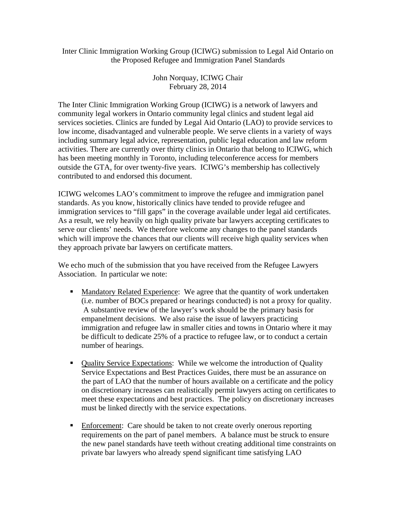## Inter Clinic Immigration Working Group (ICIWG) submission to Legal Aid Ontario on the Proposed Refugee and Immigration Panel Standards

John Norquay, ICIWG Chair February 28, 2014

The Inter Clinic Immigration Working Group (ICIWG) is a network of lawyers and community legal workers in Ontario community legal clinics and student legal aid services societies. Clinics are funded by Legal Aid Ontario (LAO) to provide services to low income, disadvantaged and vulnerable people. We serve clients in a variety of ways including summary legal advice, representation, public legal education and law reform activities. There are currently over thirty clinics in Ontario that belong to ICIWG, which has been meeting monthly in Toronto, including teleconference access for members outside the GTA, for over twenty-five years. ICIWG's membership has collectively contributed to and endorsed this document.

ICIWG welcomes LAO's commitment to improve the refugee and immigration panel standards. As you know, historically clinics have tended to provide refugee and immigration services to "fill gaps" in the coverage available under legal aid certificates. As a result, we rely heavily on high quality private bar lawyers accepting certificates to serve our clients' needs. We therefore welcome any changes to the panel standards which will improve the chances that our clients will receive high quality services when they approach private bar lawyers on certificate matters.

We echo much of the submission that you have received from the Refugee Lawyers Association. In particular we note:

- **Mandatory Related Experience:** We agree that the quantity of work undertaken (i.e. number of BOCs prepared or hearings conducted) is not a proxy for quality. A substantive review of the lawyer's work should be the primary basis for empanelment decisions. We also raise the issue of lawyers practicing immigration and refugee law in smaller cities and towns in Ontario where it may be difficult to dedicate 25% of a practice to refugee law, or to conduct a certain number of hearings.
- Quality Service Expectations: While we welcome the introduction of Quality Service Expectations and Best Practices Guides, there must be an assurance on the part of LAO that the number of hours available on a certificate and the policy on discretionary increases can realistically permit lawyers acting on certificates to meet these expectations and best practices. The policy on discretionary increases must be linked directly with the service expectations.
- Enforcement: Care should be taken to not create overly onerous reporting requirements on the part of panel members. A balance must be struck to ensure the new panel standards have teeth without creating additional time constraints on private bar lawyers who already spend significant time satisfying LAO